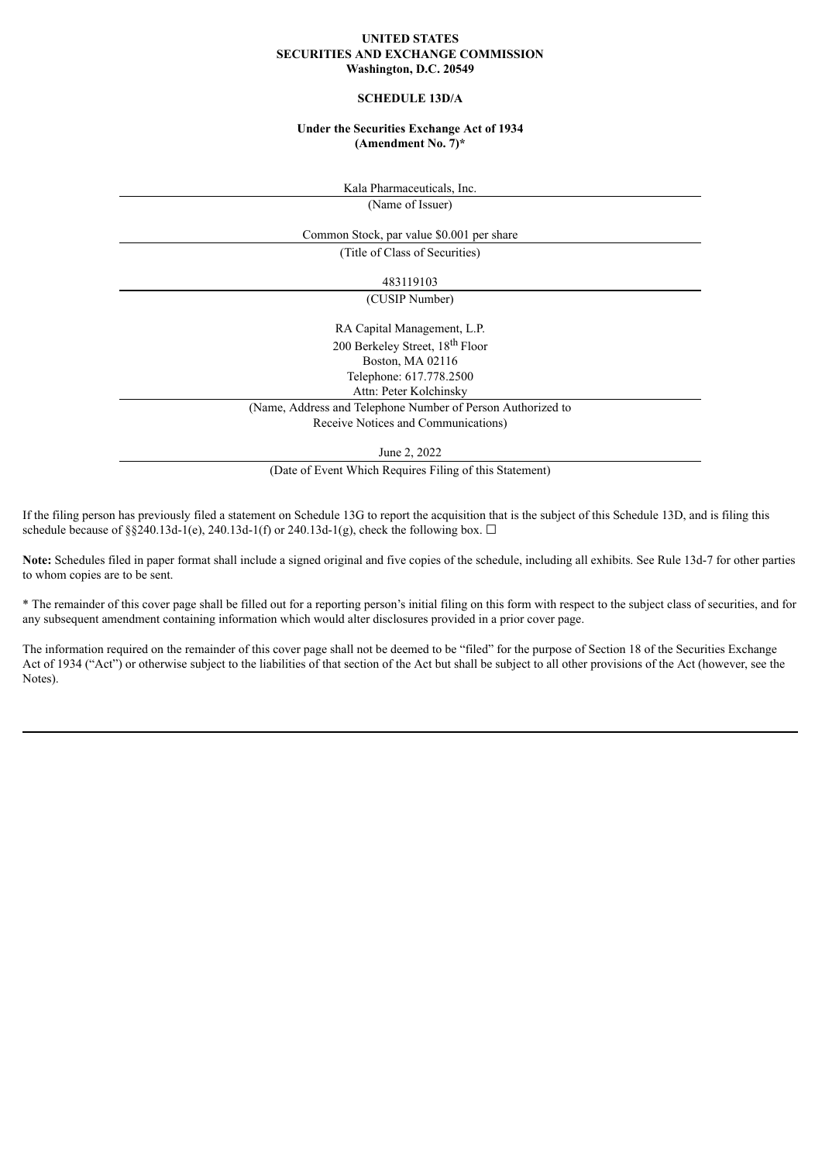#### **UNITED STATES SECURITIES AND EXCHANGE COMMISSION Washington, D.C. 20549**

## **SCHEDULE 13D/A**

### **Under the Securities Exchange Act of 1934 (Amendment No. 7)\***

Kala Pharmaceuticals, Inc. (Name of Issuer)

Common Stock, par value \$0.001 per share

(Title of Class of Securities)

483119103

(CUSIP Number)

RA Capital Management, L.P. 200 Berkeley Street, 18<sup>th</sup> Floor Boston, MA 02116 Telephone: 617.778.2500 Attn: Peter Kolchinsky

(Name, Address and Telephone Number of Person Authorized to

Receive Notices and Communications)

June 2, 2022

(Date of Event Which Requires Filing of this Statement)

If the filing person has previously filed a statement on Schedule 13G to report the acquisition that is the subject of this Schedule 13D, and is filing this schedule because of §§240.13d-1(e), 240.13d-1(f) or 240.13d-1(g), check the following box.  $\Box$ 

**Note:** Schedules filed in paper format shall include a signed original and five copies of the schedule, including all exhibits. See Rule 13d-7 for other parties to whom copies are to be sent.

\* The remainder of this cover page shall be filled out for a reporting person's initial filing on this form with respect to the subject class of securities, and for any subsequent amendment containing information which would alter disclosures provided in a prior cover page.

The information required on the remainder of this cover page shall not be deemed to be "filed" for the purpose of Section 18 of the Securities Exchange Act of 1934 ("Act") or otherwise subject to the liabilities of that section of the Act but shall be subject to all other provisions of the Act (however, see the Notes).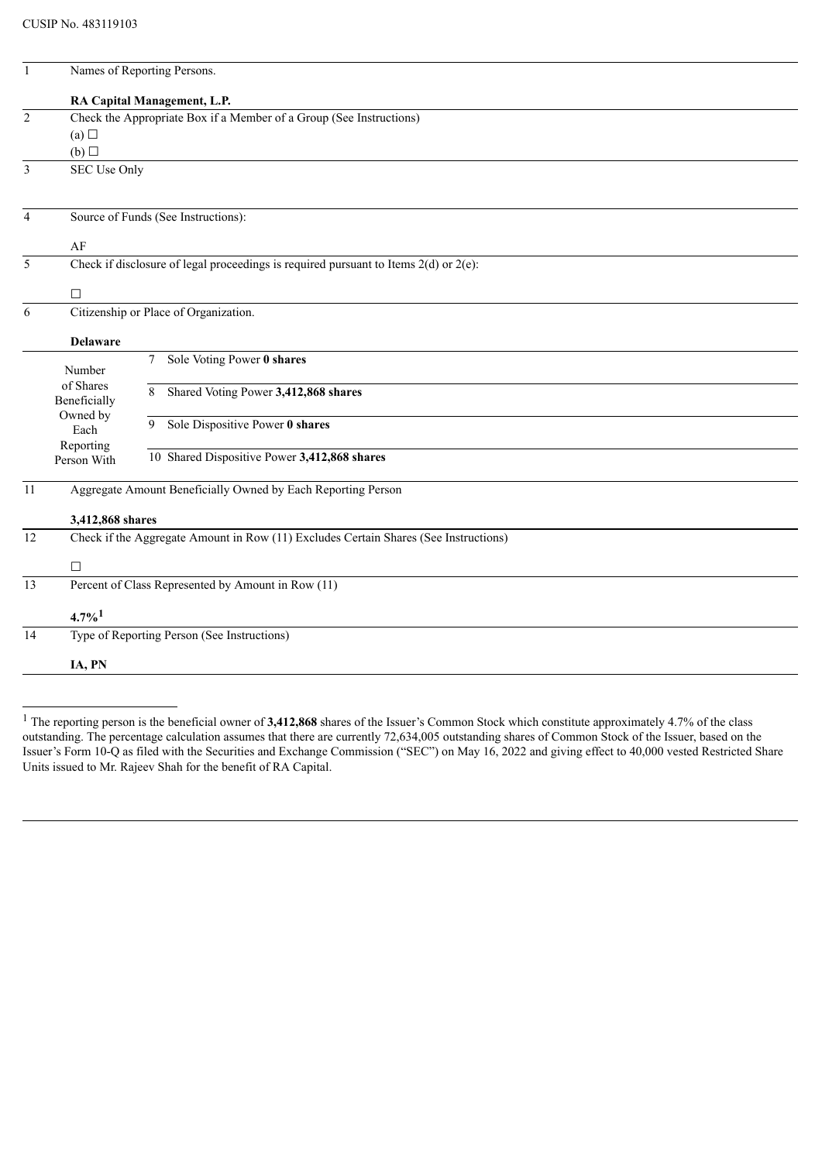| $\mathbf{1}$   | Names of Reporting Persons.                                         |                                                                                           |  |
|----------------|---------------------------------------------------------------------|-------------------------------------------------------------------------------------------|--|
|                |                                                                     | RA Capital Management, L.P.                                                               |  |
| $\overline{2}$ | Check the Appropriate Box if a Member of a Group (See Instructions) |                                                                                           |  |
|                | (a)                                                                 |                                                                                           |  |
|                | (b)                                                                 |                                                                                           |  |
| 3              | SEC Use Only                                                        |                                                                                           |  |
| $\overline{4}$ |                                                                     | Source of Funds (See Instructions):                                                       |  |
|                |                                                                     |                                                                                           |  |
| 5              | AF                                                                  | Check if disclosure of legal proceedings is required pursuant to Items $2(d)$ or $2(e)$ : |  |
|                |                                                                     |                                                                                           |  |
|                | $\Box$                                                              |                                                                                           |  |
| 6              | Citizenship or Place of Organization.                               |                                                                                           |  |
|                | <b>Delaware</b>                                                     |                                                                                           |  |
|                | Number                                                              | Sole Voting Power 0 shares<br>7                                                           |  |
|                | of Shares<br>Beneficially                                           | Shared Voting Power 3,412,868 shares<br>8                                                 |  |
|                | Owned by<br>Each                                                    | Sole Dispositive Power 0 shares<br>9                                                      |  |
|                | Reporting<br>Person With                                            | 10 Shared Dispositive Power 3,412,868 shares                                              |  |
|                |                                                                     |                                                                                           |  |
| 11             | Aggregate Amount Beneficially Owned by Each Reporting Person        |                                                                                           |  |
|                | 3,412,868 shares                                                    |                                                                                           |  |
| 12             |                                                                     | Check if the Aggregate Amount in Row (11) Excludes Certain Shares (See Instructions)      |  |
|                | □                                                                   |                                                                                           |  |
| 13             |                                                                     | Percent of Class Represented by Amount in Row (11)                                        |  |
|                | $4.7\%$ <sup>1</sup>                                                |                                                                                           |  |
| 14             |                                                                     | Type of Reporting Person (See Instructions)                                               |  |
|                | IA, PN                                                              |                                                                                           |  |
|                |                                                                     |                                                                                           |  |

<sup>&</sup>lt;sup>1</sup> The reporting person is the beneficial owner of **3,412,868** shares of the Issuer's Common Stock which constitute approximately 4.7% of the class outstanding. The percentage calculation assumes that there are currently 72,634,005 outstanding shares of Common Stock of the Issuer, based on the Issuer's Form 10-Q as filed with the Securities and Exchange Commission ("SEC") on May 16, 2022 and giving effect to 40,000 vested Restricted Share Units issued to Mr. Rajeev Shah for the benefit of RA Capital.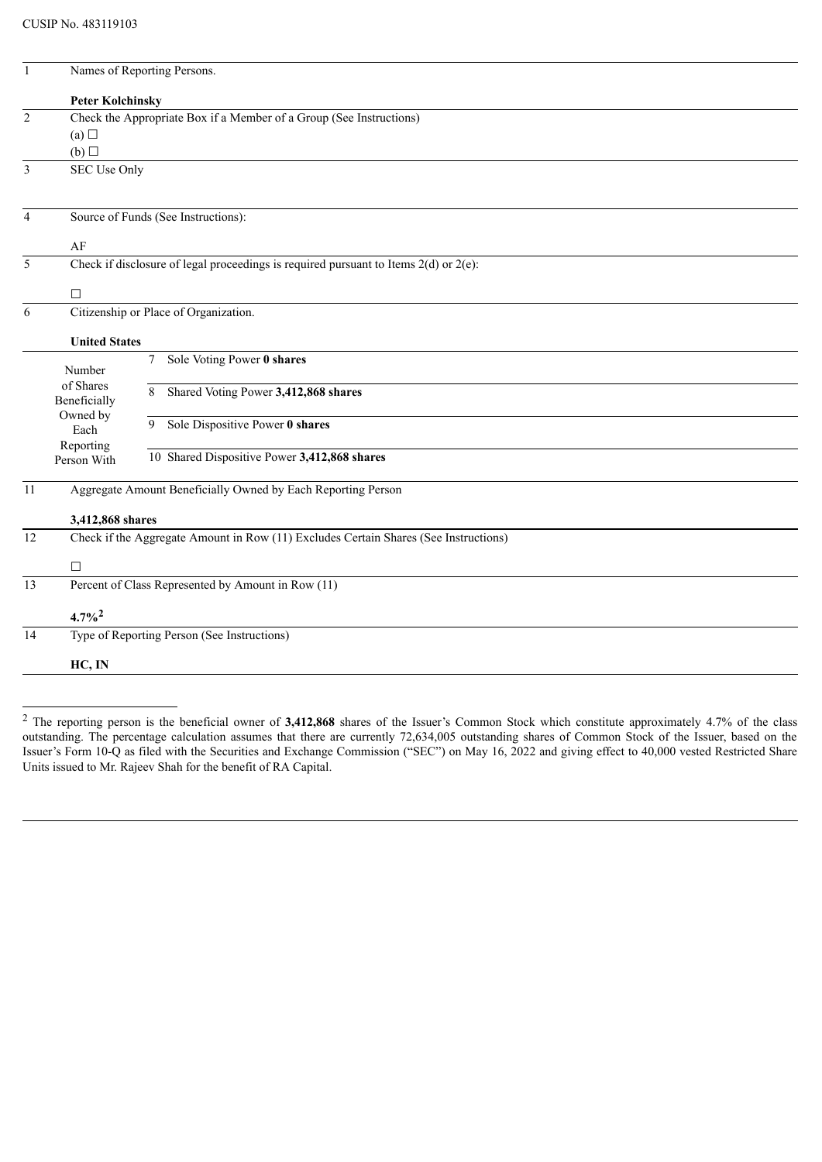| $\mathbf{1}$   | Names of Reporting Persons.                                                               |                                                              |  |  |  |
|----------------|-------------------------------------------------------------------------------------------|--------------------------------------------------------------|--|--|--|
|                | <b>Peter Kolchinsky</b>                                                                   |                                                              |  |  |  |
| $\overline{2}$ | Check the Appropriate Box if a Member of a Group (See Instructions)                       |                                                              |  |  |  |
|                | (a)<br>(b)                                                                                |                                                              |  |  |  |
| 3              | SEC Use Only                                                                              |                                                              |  |  |  |
|                |                                                                                           |                                                              |  |  |  |
| $\overline{4}$ | Source of Funds (See Instructions):                                                       |                                                              |  |  |  |
|                | AF                                                                                        |                                                              |  |  |  |
| 5              | Check if disclosure of legal proceedings is required pursuant to Items $2(d)$ or $2(e)$ : |                                                              |  |  |  |
|                | $\Box$                                                                                    |                                                              |  |  |  |
| 6              | Citizenship or Place of Organization.                                                     |                                                              |  |  |  |
|                | <b>United States</b>                                                                      |                                                              |  |  |  |
|                | Number<br>of Shares<br>Beneficially<br>Owned by<br>Each<br>Reporting<br>Person With       | Sole Voting Power 0 shares<br>$\tau$                         |  |  |  |
|                |                                                                                           | Shared Voting Power 3,412,868 shares<br>8                    |  |  |  |
|                |                                                                                           | Sole Dispositive Power 0 shares<br>9                         |  |  |  |
|                |                                                                                           | 10 Shared Dispositive Power 3,412,868 shares                 |  |  |  |
| 11             |                                                                                           | Aggregate Amount Beneficially Owned by Each Reporting Person |  |  |  |
|                | 3,412,868 shares                                                                          |                                                              |  |  |  |
| 12             | Check if the Aggregate Amount in Row (11) Excludes Certain Shares (See Instructions)      |                                                              |  |  |  |
|                | $\Box$                                                                                    |                                                              |  |  |  |
| 13             |                                                                                           | Percent of Class Represented by Amount in Row (11)           |  |  |  |
|                | $4.7\%$ <sup>2</sup>                                                                      |                                                              |  |  |  |
| 14             |                                                                                           | Type of Reporting Person (See Instructions)                  |  |  |  |
|                | HC, IN                                                                                    |                                                              |  |  |  |
|                |                                                                                           |                                                              |  |  |  |

<sup>2</sup> The reporting person is the beneficial owner of **3,412,868** shares of the Issuer's Common Stock which constitute approximately 4.7% of the class outstanding. The percentage calculation assumes that there are currently 72,634,005 outstanding shares of Common Stock of the Issuer, based on the Issuer's Form 10-Q as filed with the Securities and Exchange Commission ("SEC") on May 16, 2022 and giving effect to 40,000 vested Restricted Share Units issued to Mr. Rajeev Shah for the benefit of RA Capital.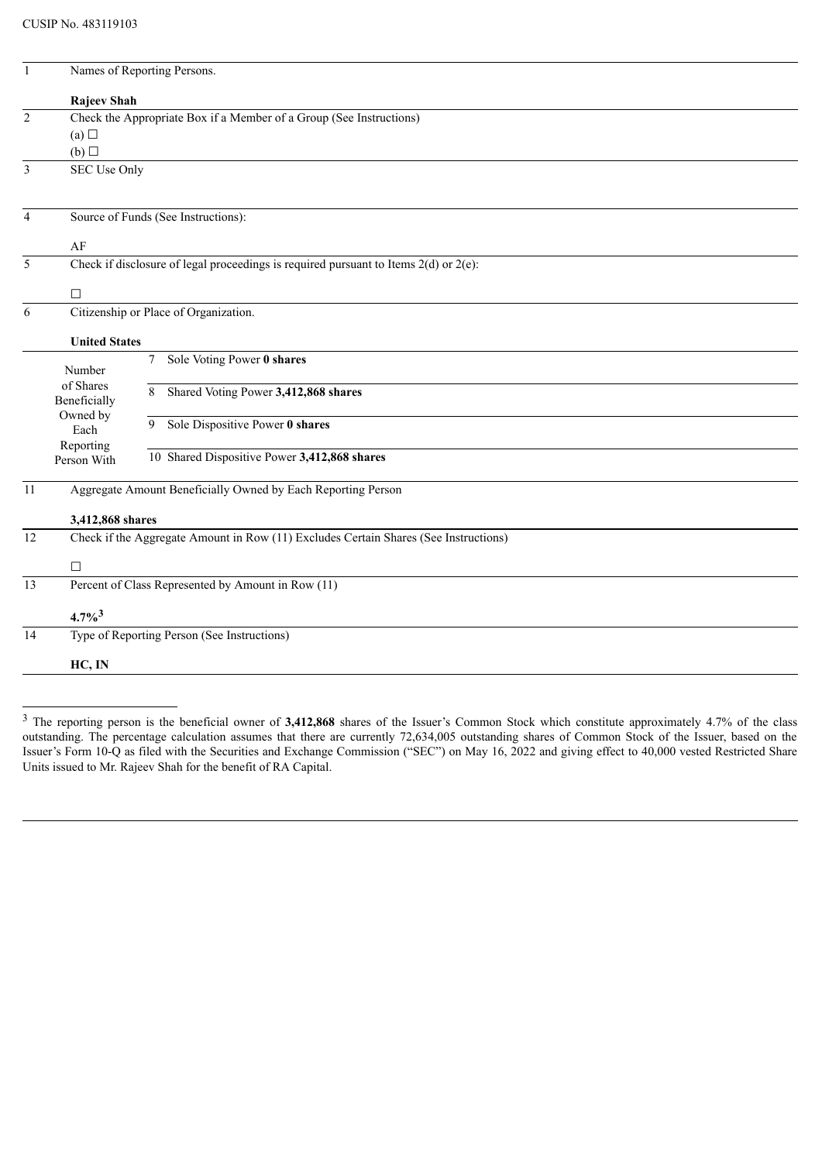| $\mathbf{1}$   | Names of Reporting Persons.                                                               |                                                              |  |  |  |
|----------------|-------------------------------------------------------------------------------------------|--------------------------------------------------------------|--|--|--|
|                | Rajeev Shah                                                                               |                                                              |  |  |  |
| $\overline{2}$ | Check the Appropriate Box if a Member of a Group (See Instructions)                       |                                                              |  |  |  |
|                | (a)<br>(b)                                                                                |                                                              |  |  |  |
| $\overline{3}$ | <b>SEC Use Only</b>                                                                       |                                                              |  |  |  |
|                |                                                                                           |                                                              |  |  |  |
| 4              | Source of Funds (See Instructions):                                                       |                                                              |  |  |  |
|                | AF                                                                                        |                                                              |  |  |  |
| 5              | Check if disclosure of legal proceedings is required pursuant to Items $2(d)$ or $2(e)$ : |                                                              |  |  |  |
|                | □                                                                                         |                                                              |  |  |  |
| 6              | Citizenship or Place of Organization.                                                     |                                                              |  |  |  |
|                | <b>United States</b>                                                                      |                                                              |  |  |  |
|                | Number<br>of Shares<br>Beneficially<br>Owned by<br>Each<br>Reporting                      | Sole Voting Power 0 shares<br>7                              |  |  |  |
|                |                                                                                           | Shared Voting Power 3,412,868 shares<br>8                    |  |  |  |
|                |                                                                                           | Sole Dispositive Power 0 shares<br>9                         |  |  |  |
|                | Person With                                                                               | 10 Shared Dispositive Power 3,412,868 shares                 |  |  |  |
| 11             |                                                                                           | Aggregate Amount Beneficially Owned by Each Reporting Person |  |  |  |
|                | 3,412,868 shares                                                                          |                                                              |  |  |  |
| 12             | Check if the Aggregate Amount in Row (11) Excludes Certain Shares (See Instructions)      |                                                              |  |  |  |
|                | □                                                                                         |                                                              |  |  |  |
| 13             |                                                                                           | Percent of Class Represented by Amount in Row (11)           |  |  |  |
|                | $4.7\%^{3}$                                                                               |                                                              |  |  |  |
| 14             |                                                                                           | Type of Reporting Person (See Instructions)                  |  |  |  |
|                | HC, IN                                                                                    |                                                              |  |  |  |
|                |                                                                                           |                                                              |  |  |  |

<sup>&</sup>lt;sup>3</sup> The reporting person is the beneficial owner of 3,412,868 shares of the Issuer's Common Stock which constitute approximately 4.7% of the class outstanding. The percentage calculation assumes that there are currently 72,634,005 outstanding shares of Common Stock of the Issuer, based on the Issuer's Form 10-Q as filed with the Securities and Exchange Commission ("SEC") on May 16, 2022 and giving effect to 40,000 vested Restricted Share Units issued to Mr. Rajeev Shah for the benefit of RA Capital.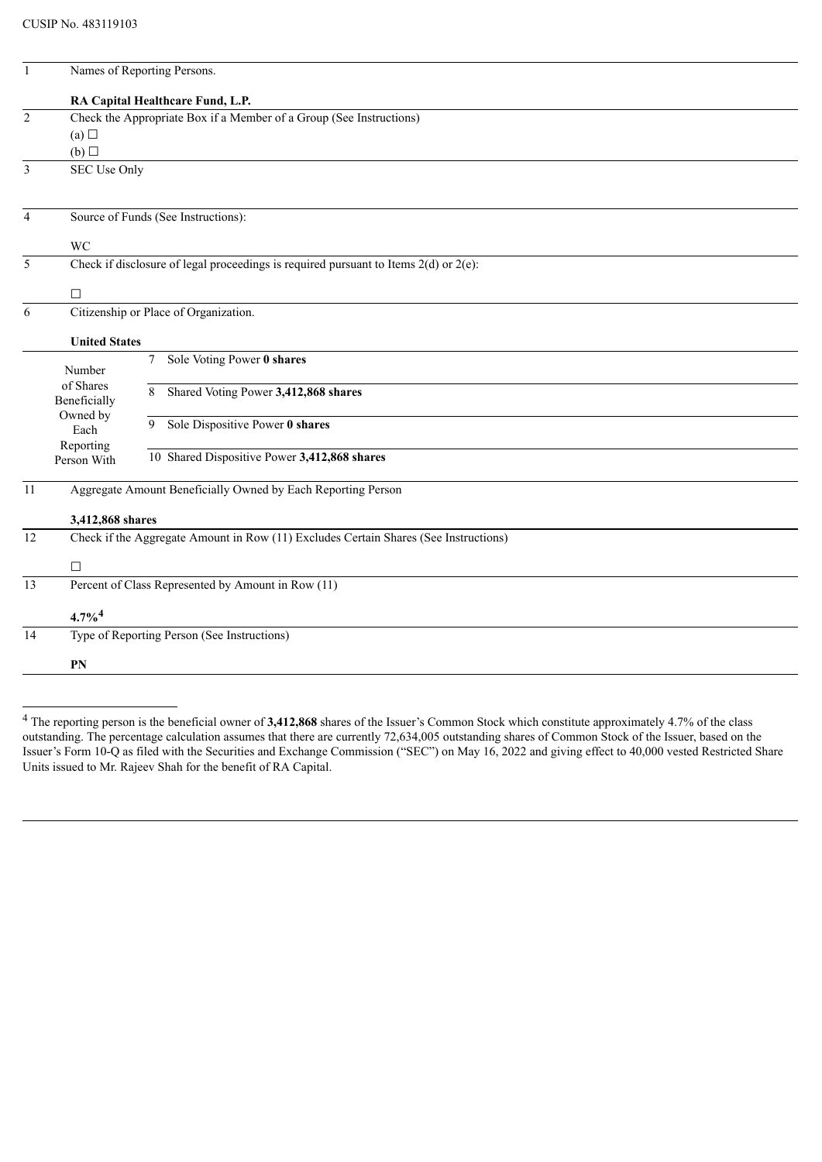| $\mathbf{1}$   |                                                                                                          | Names of Reporting Persons.                        |  |  |
|----------------|----------------------------------------------------------------------------------------------------------|----------------------------------------------------|--|--|
|                |                                                                                                          | RA Capital Healthcare Fund, L.P.                   |  |  |
| $\overline{2}$ | Check the Appropriate Box if a Member of a Group (See Instructions)                                      |                                                    |  |  |
|                | (a)                                                                                                      |                                                    |  |  |
|                | (b)                                                                                                      |                                                    |  |  |
| 3              | SEC Use Only                                                                                             |                                                    |  |  |
| $\overline{4}$ |                                                                                                          |                                                    |  |  |
|                |                                                                                                          | Source of Funds (See Instructions):                |  |  |
|                | <b>WC</b>                                                                                                |                                                    |  |  |
| 5              | Check if disclosure of legal proceedings is required pursuant to Items $2(d)$ or $2(e)$ :                |                                                    |  |  |
|                | $\Box$                                                                                                   |                                                    |  |  |
| 6              | Citizenship or Place of Organization.                                                                    |                                                    |  |  |
|                | <b>United States</b>                                                                                     |                                                    |  |  |
|                | Number<br>of Shares<br>Beneficially<br>Owned by<br>Each                                                  | Sole Voting Power 0 shares<br>7                    |  |  |
|                |                                                                                                          | Shared Voting Power 3,412,868 shares<br>8          |  |  |
|                |                                                                                                          | Sole Dispositive Power 0 shares<br>9               |  |  |
|                |                                                                                                          |                                                    |  |  |
|                | Reporting<br>Person With                                                                                 | 10 Shared Dispositive Power 3,412,868 shares       |  |  |
| 11             | Aggregate Amount Beneficially Owned by Each Reporting Person                                             |                                                    |  |  |
|                |                                                                                                          |                                                    |  |  |
| 12             | 3,412,868 shares<br>Check if the Aggregate Amount in Row (11) Excludes Certain Shares (See Instructions) |                                                    |  |  |
|                |                                                                                                          |                                                    |  |  |
|                | $\Box$                                                                                                   |                                                    |  |  |
| 13             |                                                                                                          | Percent of Class Represented by Amount in Row (11) |  |  |
|                | $4.7\%$ <sup>4</sup>                                                                                     |                                                    |  |  |
| 14             | Type of Reporting Person (See Instructions)                                                              |                                                    |  |  |
|                | PN                                                                                                       |                                                    |  |  |
|                |                                                                                                          |                                                    |  |  |

<sup>&</sup>lt;sup>4</sup> The reporting person is the beneficial owner of **3,412,868** shares of the Issuer's Common Stock which constitute approximately 4.7% of the class outstanding. The percentage calculation assumes that there are currently 72,634,005 outstanding shares of Common Stock of the Issuer, based on the Issuer's Form 10-Q as filed with the Securities and Exchange Commission ("SEC") on May 16, 2022 and giving effect to 40,000 vested Restricted Share Units issued to Mr. Rajeev Shah for the benefit of RA Capital.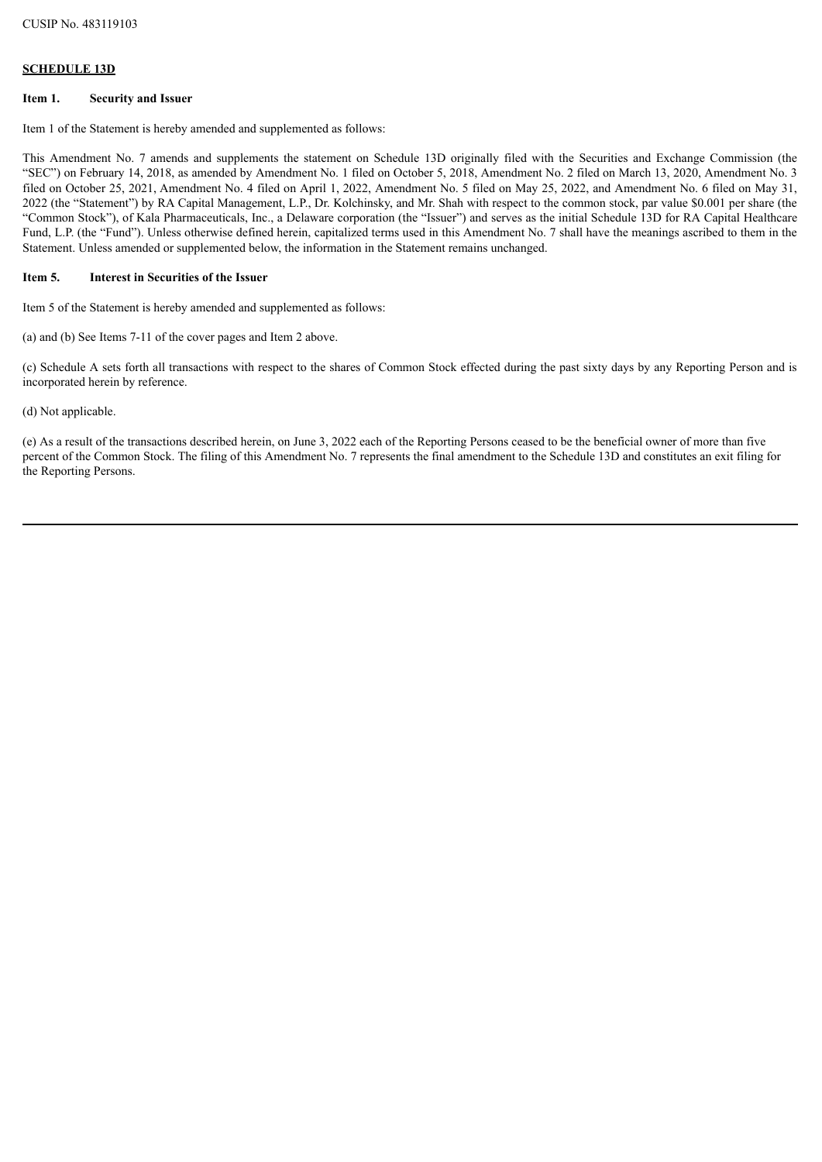### **SCHEDULE 13D**

### **Item 1. Security and Issuer**

Item 1 of the Statement is hereby amended and supplemented as follows:

This Amendment No. 7 amends and supplements the statement on Schedule 13D originally filed with the Securities and Exchange Commission (the "SEC") on February 14, 2018, as amended by Amendment No. 1 filed on October 5, 2018, Amendment No. 2 filed on March 13, 2020, Amendment No. 3 filed on October 25, 2021, Amendment No. 4 filed on April 1, 2022, Amendment No. 5 filed on May 25, 2022, and Amendment No. 6 filed on May 31, 2022 (the "Statement") by RA Capital Management, L.P., Dr. Kolchinsky, and Mr. Shah with respect to the common stock, par value \$0.001 per share (the "Common Stock"), of Kala Pharmaceuticals, Inc., a Delaware corporation (the "Issuer") and serves as the initial Schedule 13D for RA Capital Healthcare Fund, L.P. (the "Fund"). Unless otherwise defined herein, capitalized terms used in this Amendment No. 7 shall have the meanings ascribed to them in the Statement. Unless amended or supplemented below, the information in the Statement remains unchanged.

### **Item 5. Interest in Securities of the Issuer**

Item 5 of the Statement is hereby amended and supplemented as follows:

(a) and (b) See Items 7-11 of the cover pages and Item 2 above.

(c) Schedule A sets forth all transactions with respect to the shares of Common Stock effected during the past sixty days by any Reporting Person and is incorporated herein by reference.

(d) Not applicable.

(e) As a result of the transactions described herein, on June 3, 2022 each of the Reporting Persons ceased to be the beneficial owner of more than five percent of the Common Stock. The filing of this Amendment No. 7 represents the final amendment to the Schedule 13D and constitutes an exit filing for the Reporting Persons.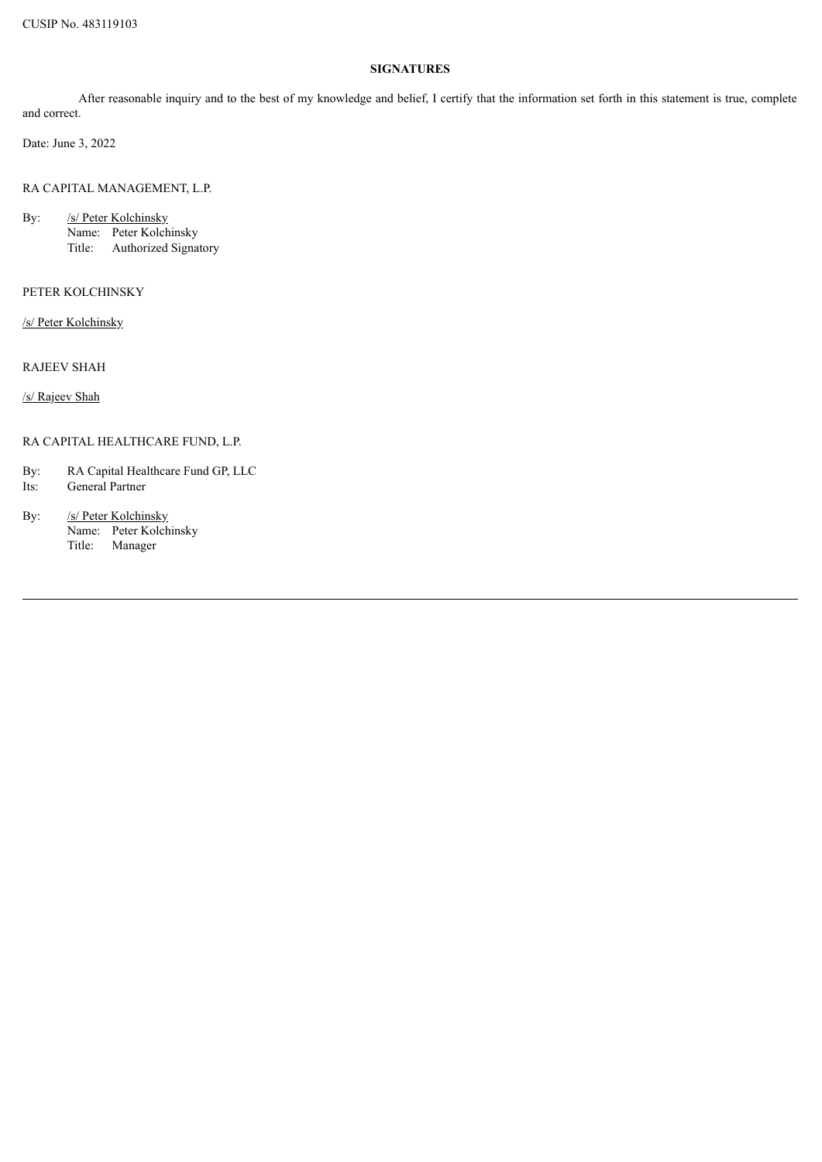## **SIGNATURES**

After reasonable inquiry and to the best of my knowledge and belief, I certify that the information set forth in this statement is true, complete and correct.

Date: June 3, 2022

RA CAPITAL MANAGEMENT, L.P.

By: /s/ Peter Kolchinsky Name: Peter Kolchinsky Title: Authorized Signatory

PETER KOLCHINSKY

/s/ Peter Kolchinsky

RAJEEV SHAH

/s/ Rajeev Shah

RA CAPITAL HEALTHCARE FUND, L.P.

By: RA Capital Healthcare Fund GP, LLC

- Its: General Partner
- By: /s/ Peter Kolchinsky Name: Peter Kolchinsky Title: Manager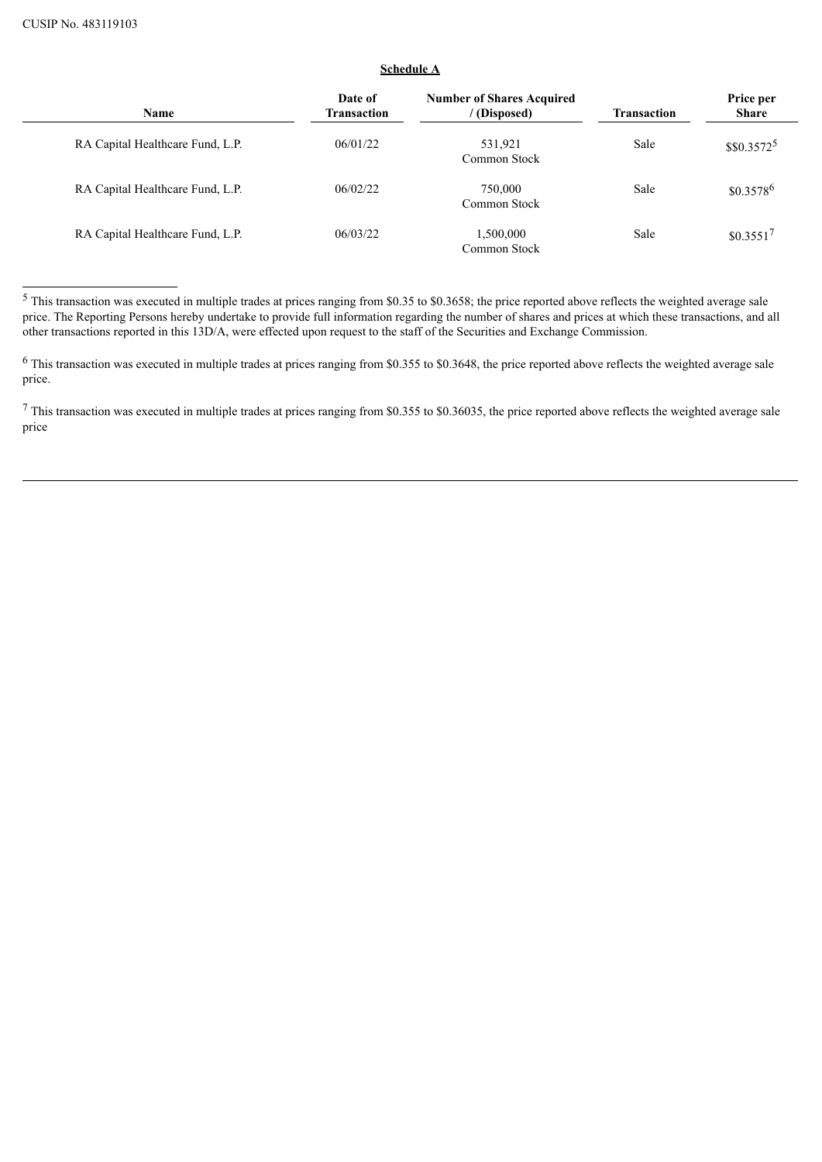# **Schedule A**

| Name                             | Date of<br>Transaction | <b>Number of Shares Acquired</b><br>/(Disposed) | <b>Transaction</b> | Price per<br><b>Share</b> |
|----------------------------------|------------------------|-------------------------------------------------|--------------------|---------------------------|
| RA Capital Healthcare Fund, L.P. | 06/01/22               | 531,921<br>Common Stock                         | Sale               | $$0.3572^5$               |
| RA Capital Healthcare Fund, L.P. | 06/02/22               | 750,000<br>Common Stock                         | Sale               | $$0.3578^6$               |
| RA Capital Healthcare Fund, L.P. | 06/03/22               | 1,500,000<br>Common Stock                       | Sale               | $$0.3551$ <sup>7</sup>    |

<sup>5</sup> This transaction was executed in multiple trades at prices ranging from \$0.35 to \$0.3658; the price reported above reflects the weighted average sale price. The Reporting Persons hereby undertake to provide full information regarding the number of shares and prices at which these transactions, and all other transactions reported in this 13D/A, were effected upon request to the staff of the Securities and Exchange Commission.

<sup>7</sup> This transaction was executed in multiple trades at prices ranging from \$0.355 to \$0.36035, the price reported above reflects the weighted average sale price

<sup>6</sup> This transaction was executed in multiple trades at prices ranging from \$0.355 to \$0.3648, the price reported above reflects the weighted average sale price.